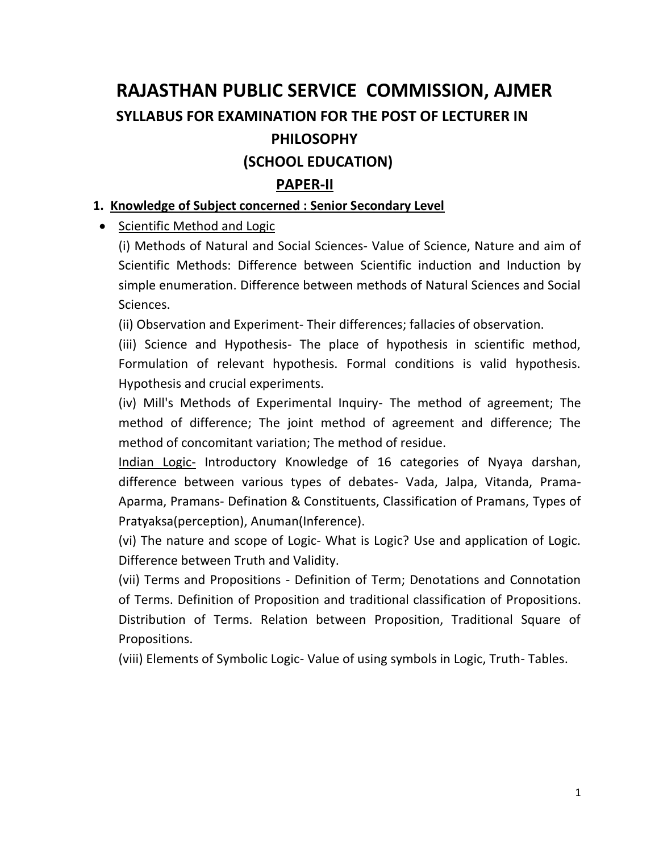# **RAJASTHAN PUBLIC SERVICE COMMISSION, AJMER SYLLABUS FOR EXAMINATION FOR THE POST OF LECTURER IN PHILOSOPHY**

## **(SCHOOL EDUCATION)**

## **PAPER-II**

#### **1. Knowledge of Subject concerned : Senior Secondary Level**

• Scientific Method and Logic

(i) Methods of Natural and Social Sciences- Value of Science, Nature and aim of Scientific Methods: Difference between Scientific induction and Induction by simple enumeration. Difference between methods of Natural Sciences and Social Sciences.

(ii) Observation and Experiment- Their differences; fallacies of observation.

(iii) Science and Hypothesis- The place of hypothesis in scientific method, Formulation of relevant hypothesis. Formal conditions is valid hypothesis. Hypothesis and crucial experiments.

(iv) Mill's Methods of Experimental Inquiry- The method of agreement; The method of difference; The joint method of agreement and difference; The method of concomitant variation; The method of residue.

Indian Logic- Introductory Knowledge of 16 categories of Nyaya darshan, difference between various types of debates- Vada, Jalpa, Vitanda, Prama-Aparma, Pramans- Defination & Constituents, Classification of Pramans, Types of Pratyaksa(perception), Anuman(Inference).

(vi) The nature and scope of Logic- What is Logic? Use and application of Logic. Difference between Truth and Validity.

(vii) Terms and Propositions - Definition of Term; Denotations and Connotation of Terms. Definition of Proposition and traditional classification of Propositions. Distribution of Terms. Relation between Proposition, Traditional Square of Propositions.

(viii) Elements of Symbolic Logic- Value of using symbols in Logic, Truth- Tables.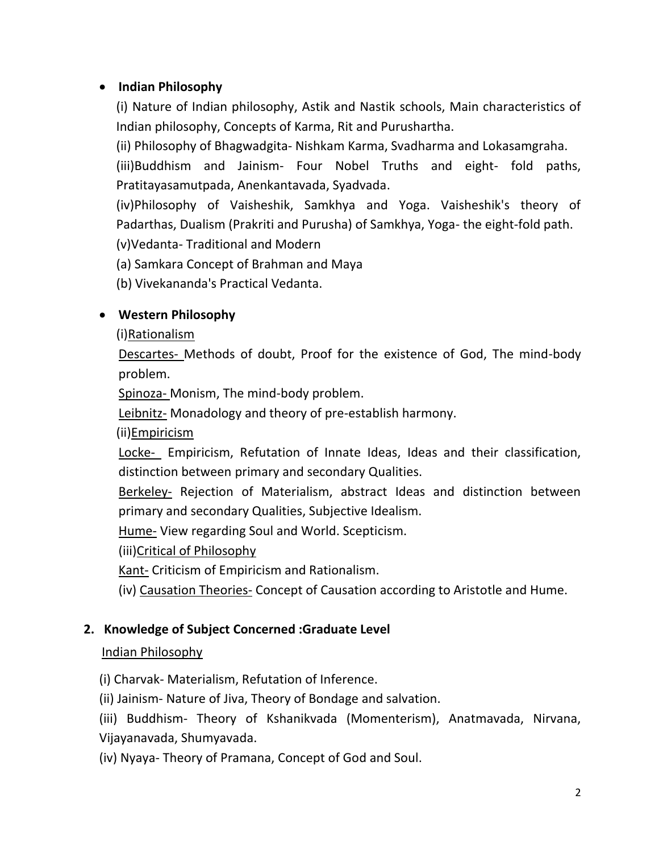#### **Indian Philosophy**

(i) Nature of Indian philosophy, Astik and Nastik schools, Main characteristics of Indian philosophy, Concepts of Karma, Rit and Purushartha.

(ii) Philosophy of Bhagwadgita- Nishkam Karma, Svadharma and Lokasamgraha.

(iii)Buddhism and Jainism- Four Nobel Truths and eight- fold paths, Pratitayasamutpada, Anenkantavada, Syadvada.

(iv)Philosophy of Vaisheshik, Samkhya and Yoga. Vaisheshik's theory of Padarthas, Dualism (Prakriti and Purusha) of Samkhya, Yoga- the eight-fold path. (v)Vedanta- Traditional and Modern

(a) Samkara Concept of Brahman and Maya

(b) Vivekananda's Practical Vedanta.

#### **Western Philosophy**

(i)Rationalism

Descartes- Methods of doubt, Proof for the existence of God, The mind-body problem.

Spinoza- Monism, The mind-body problem.

Leibnitz- Monadology and theory of pre-establish harmony.

(ii)Empiricism

Locke- Empiricism, Refutation of Innate Ideas, Ideas and their classification, distinction between primary and secondary Qualities.

Berkeley- Rejection of Materialism, abstract Ideas and distinction between primary and secondary Qualities, Subjective Idealism.

Hume- View regarding Soul and World. Scepticism.

(iii)Critical of Philosophy

Kant- Criticism of Empiricism and Rationalism.

(iv) Causation Theories- Concept of Causation according to Aristotle and Hume.

#### **2. Knowledge of Subject Concerned :Graduate Level**

#### Indian Philosophy

(i) Charvak- Materialism, Refutation of Inference.

(ii) Jainism- Nature of Jiva, Theory of Bondage and salvation.

(iii) Buddhism- Theory of Kshanikvada (Momenterism), Anatmavada, Nirvana, Vijayanavada, Shumyavada.

(iv) Nyaya- Theory of Pramana, Concept of God and Soul.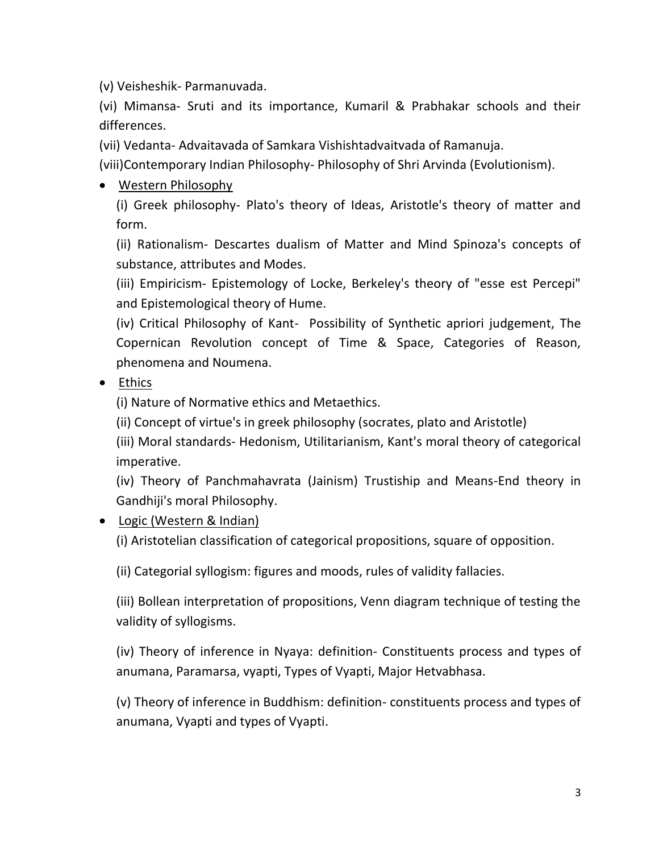(v) Veisheshik- Parmanuvada.

(vi) Mimansa- Sruti and its importance, Kumaril & Prabhakar schools and their differences.

(vii) Vedanta- Advaitavada of Samkara Vishishtadvaitvada of Ramanuja.

(viii)Contemporary Indian Philosophy- Philosophy of Shri Arvinda (Evolutionism).

## Western Philosophy

(i) Greek philosophy- Plato's theory of Ideas, Aristotle's theory of matter and form.

(ii) Rationalism- Descartes dualism of Matter and Mind Spinoza's concepts of substance, attributes and Modes.

(iii) Empiricism- Epistemology of Locke, Berkeley's theory of "esse est Percepi" and Epistemological theory of Hume.

(iv) Critical Philosophy of Kant- Possibility of Synthetic apriori judgement, The Copernican Revolution concept of Time & Space, Categories of Reason, phenomena and Noumena.

• Ethics

(i) Nature of Normative ethics and Metaethics.

(ii) Concept of virtue's in greek philosophy (socrates, plato and Aristotle)

(iii) Moral standards- Hedonism, Utilitarianism, Kant's moral theory of categorical imperative.

(iv) Theory of Panchmahavrata (Jainism) Trustiship and Means-End theory in Gandhiji's moral Philosophy.

### Logic (Western & Indian)

(i) Aristotelian classification of categorical propositions, square of opposition.

(ii) Categorial syllogism: figures and moods, rules of validity fallacies.

(iii) Bollean interpretation of propositions, Venn diagram technique of testing the validity of syllogisms.

(iv) Theory of inference in Nyaya: definition- Constituents process and types of anumana, Paramarsa, vyapti, Types of Vyapti, Major Hetvabhasa.

(v) Theory of inference in Buddhism: definition- constituents process and types of anumana, Vyapti and types of Vyapti.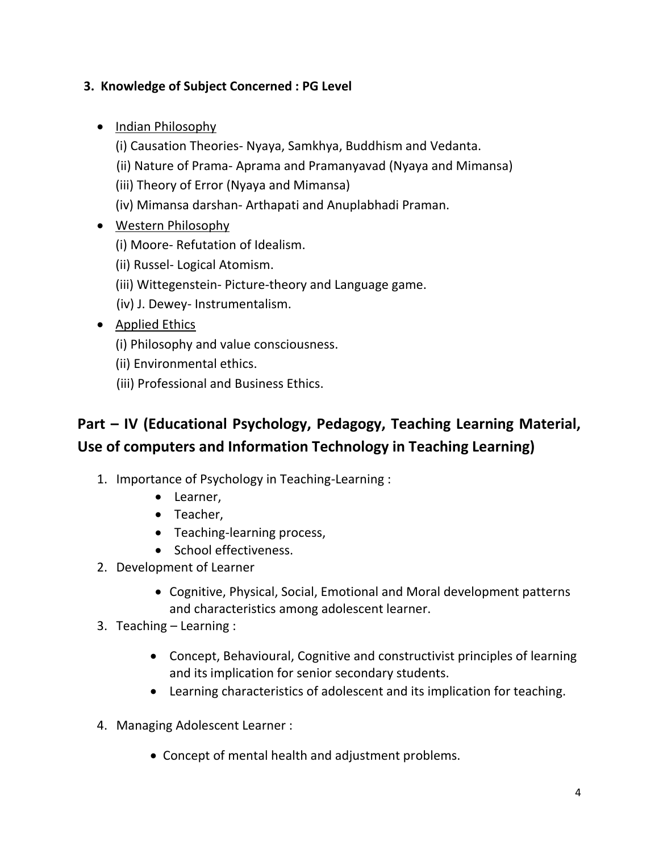#### **3. Knowledge of Subject Concerned : PG Level**

- Indian Philosophy
	- (i) Causation Theories- Nyaya, Samkhya, Buddhism and Vedanta.
	- (ii) Nature of Prama- Aprama and Pramanyavad (Nyaya and Mimansa)
	- (iii) Theory of Error (Nyaya and Mimansa)
	- (iv) Mimansa darshan- Arthapati and Anuplabhadi Praman.
- Western Philosophy
	- (i) Moore- Refutation of Idealism.
	- (ii) Russel- Logical Atomism.
	- (iii) Wittegenstein- Picture-theory and Language game.
	- (iv) J. Dewey- Instrumentalism.
- Applied Ethics
	- (i) Philosophy and value consciousness.
	- (ii) Environmental ethics.
	- (iii) Professional and Business Ethics.

## **Part – IV (Educational Psychology, Pedagogy, Teaching Learning Material, Use of computers and Information Technology in Teaching Learning)**

- 1. Importance of Psychology in Teaching-Learning :
	- Learner,
	- Teacher,
	- Teaching-learning process,
	- School effectiveness.
- 2. Development of Learner
	- Cognitive, Physical, Social, Emotional and Moral development patterns and characteristics among adolescent learner.
- 3. Teaching Learning :
	- Concept, Behavioural, Cognitive and constructivist principles of learning and its implication for senior secondary students.
	- Learning characteristics of adolescent and its implication for teaching.
- 4. Managing Adolescent Learner :
	- Concept of mental health and adjustment problems.